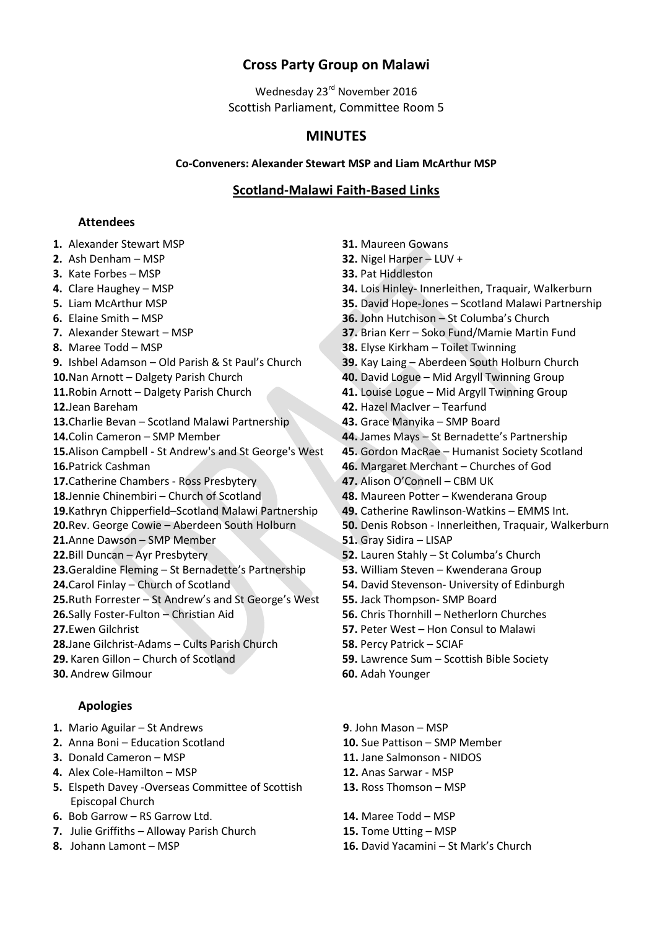# **Cross Party Group on Malawi**

Wednesday 23<sup>rd</sup> November 2016 Scottish Parliament, Committee Room 5

# **MINUTES**

### **Co-Conveners: Alexander Stewart MSP and Liam McArthur MSP**

# **Scotland-Malawi Faith-Based Links**

# **Attendees**

- **1.** Alexander Stewart MSP **31.** Maureen Gowans
- 
- **3.** Kate Forbes MSP **33.** Pat Hiddleston
- 
- 
- 
- 
- 
- **9.** Ishbel Adamson Old Parish & St Paul's Church **39.** Kay Laing Aberdeen South Holburn Church
- 
- 
- 
- **13.**Charlie Bevan Scotland Malawi Partnership **43.** Grace Manyika SMP Board
- 
- **15.**Alison Campbell St Andrew's and St George's West **45.** Gordon MacRae Humanist Society Scotland
- 
- **17.**Catherine Chambers Ross Presbytery **47.** Alison O'Connell CBM UK
- **18.**Jennie Chinembiri Church of Scotland **48.** Maureen Potter Kwenderana Group
- **19.**Kathryn Chipperfield–Scotland Malawi Partnership **49.** Catherine Rawlinson-Watkins EMMS Int.
- 
- **21.**Anne Dawson SMP Member **51.** Gray Sidira LISAP
- 
- **23.**Geraldine Fleming St Bernadette's Partnership **53.** William Steven Kwenderana Group
- 
- **25.**Ruth Forrester St Andrew's and St George's West **55.** Jack Thompson- SMP Board
- 
- 
- **28.**Jane Gilchrist-Adams Cults Parish Church **58.** Percy Patrick SCIAF
- 
- **30.** Andrew Gilmour **60.** Adah Younger

# **Apologies**

- **1.** Mario Aguilar St Andrews **9**. John Mason MSP
- **2.** Anna Boni Education Scotland **10.** Sue Pattison SMP Member
- **3.** Donald Cameron MSP **11.** Jane Salmonson NIDOS
- **4.** Alex Cole-Hamilton MSP **12.** Anas Sarwar MSP
- **5.** Elspeth Davey -Overseas Committee of Scottish Episcopal Church
- **6.** Bob Garrow RS Garrow Ltd. **14.** Maree Todd MSP
- **7.** Julie Griffiths Alloway Parish Church **15.** Tome Utting MSP
- 
- 
- **2.** Ash Denham MSP **32.** Nigel Harper LUV +
	-
- **4.** Clare Haughey MSP **34.** Lois Hinley- Innerleithen, Traquair, Walkerburn
- **5.** Liam McArthur MSP **35.** David Hope-Jones Scotland Malawi Partnership
- **6.** Elaine Smith MSP **36.** John Hutchison St Columba's Church
- **7.** Alexander Stewart MSP **37.** Brian Kerr Soko Fund/Mamie Martin Fund
- **8.** Maree Todd MSP **38.** Elyse Kirkham Toilet Twinning
	-
- **10.**Nan Arnott Dalgety Parish Church **40.** David Logue Mid Argyll Twinning Group
- **11.**Robin Arnott Dalgety Parish Church **41.** Louise Logue Mid Argyll Twinning Group
- **12.**Jean Bareham **42.** Hazel MacIver Tearfund
	-
- **14.**Colin Cameron SMP Member **44.** James Mays St Bernadette's Partnership
	-
- **16.**Patrick Cashman **46.** Margaret Merchant Churches of God
	-
	-
	-
- **20.**Rev. George Cowie Aberdeen South Holburn **50.** Denis Robson Innerleithen, Traquair, Walkerburn
	-
- **22.**Bill Duncan Ayr Presbytery **52.** Lauren Stahly St Columba's Church
	-
- **24.**Carol Finlay Church of Scotland **54.** David Stevenson- University of Edinburgh
	-
- **26.**Sally Foster-Fulton Christian Aid **56.** Chris Thornhill Netherlorn Churches
- **27.**Ewen Gilchrist **57.** Peter West Hon Consul to Malawi
	-
- **29.** Karen Gillon Church of Scotland **59.** Lawrence Sum Scottish Bible Society
	-
	-
	-
	-
	-
	- **13.** Ross Thomson MSP
	-
	-
- **8.** Johann Lamont MSP **16.** David Yacamini St Mark's Church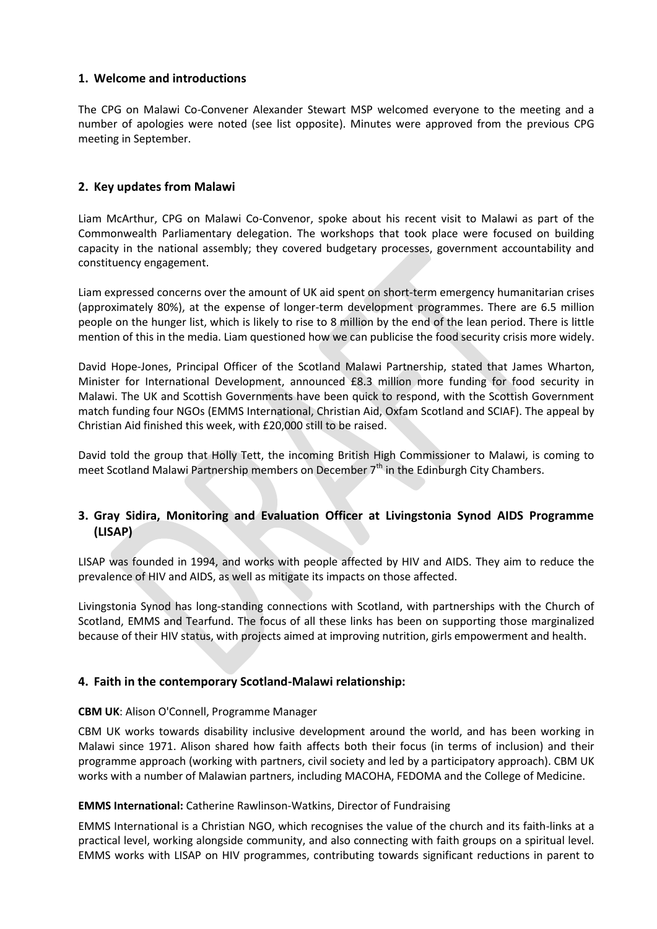# **1. Welcome and introductions**

The CPG on Malawi Co-Convener Alexander Stewart MSP welcomed everyone to the meeting and a number of apologies were noted (see list opposite). Minutes were approved from the previous CPG meeting in September.

# **2. Key updates from Malawi**

Liam McArthur, CPG on Malawi Co-Convenor, spoke about his recent visit to Malawi as part of the Commonwealth Parliamentary delegation. The workshops that took place were focused on building capacity in the national assembly; they covered budgetary processes, government accountability and constituency engagement.

Liam expressed concerns over the amount of UK aid spent on short-term emergency humanitarian crises (approximately 80%), at the expense of longer-term development programmes. There are 6.5 million people on the hunger list, which is likely to rise to 8 million by the end of the lean period. There is little mention of this in the media. Liam questioned how we can publicise the food security crisis more widely.

David Hope-Jones, Principal Officer of the Scotland Malawi Partnership, stated that James Wharton, Minister for International Development, announced £8.3 million more funding for food security in Malawi. The UK and Scottish Governments have been quick to respond, with the Scottish Government match funding four NGOs (EMMS International, Christian Aid, Oxfam Scotland and SCIAF). The appeal by Christian Aid finished this week, with £20,000 still to be raised.

David told the group that Holly Tett, the incoming British High Commissioner to Malawi, is coming to meet Scotland Malawi Partnership members on December  $7<sup>th</sup>$  in the Edinburgh City Chambers.

# **3. Gray Sidira, Monitoring and Evaluation Officer at Livingstonia Synod AIDS Programme (LISAP)**

LISAP was founded in 1994, and works with people affected by HIV and AIDS. They aim to reduce the prevalence of HIV and AIDS, as well as mitigate its impacts on those affected.

Livingstonia Synod has long-standing connections with Scotland, with partnerships with the Church of Scotland, EMMS and Tearfund. The focus of all these links has been on supporting those marginalized because of their HIV status, with projects aimed at improving nutrition, girls empowerment and health.

# **4. Faith in the contemporary Scotland-Malawi relationship:**

# **CBM UK**: Alison O'Connell, Programme Manager

CBM UK works towards disability inclusive development around the world, and has been working in Malawi since 1971. Alison shared how faith affects both their focus (in terms of inclusion) and their programme approach (working with partners, civil society and led by a participatory approach). CBM UK works with a number of Malawian partners, including MACOHA, FEDOMA and the College of Medicine.

# **EMMS International:** Catherine Rawlinson-Watkins, Director of Fundraising

EMMS International is a Christian NGO, which recognises the value of the church and its faith-links at a practical level, working alongside community, and also connecting with faith groups on a spiritual level. EMMS works with LISAP on HIV programmes, contributing towards significant reductions in parent to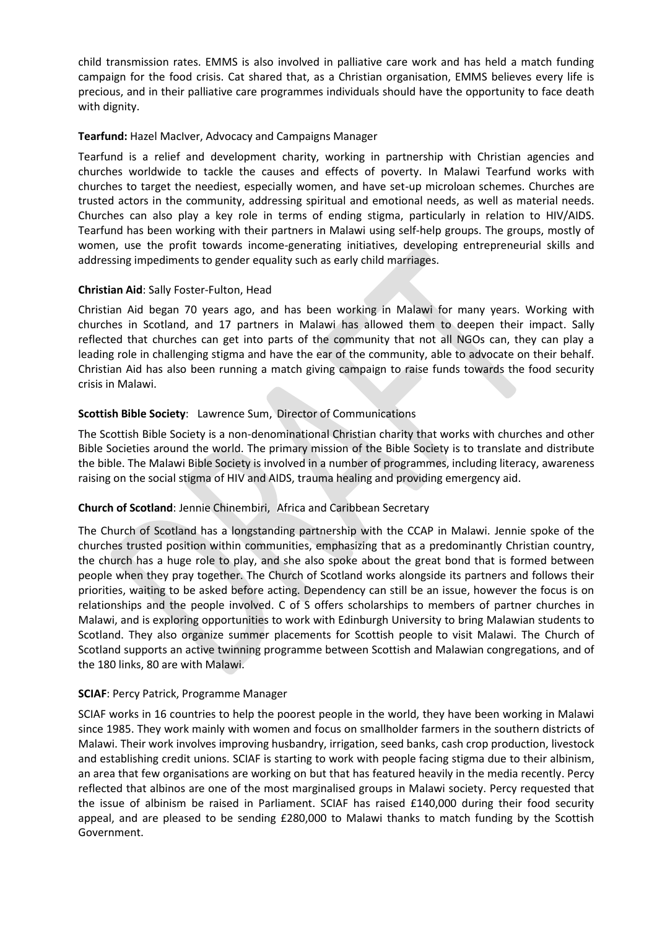child transmission rates. EMMS is also involved in palliative care work and has held a match funding campaign for the food crisis. Cat shared that, as a Christian organisation, EMMS believes every life is precious, and in their palliative care programmes individuals should have the opportunity to face death with dignity.

#### **Tearfund:** Hazel MacIver, Advocacy and Campaigns Manager

Tearfund is a relief and development charity, working in partnership with Christian agencies and churches worldwide to tackle the causes and effects of poverty. In Malawi Tearfund works with churches to target the neediest, especially women, and have set-up microloan schemes. Churches are trusted actors in the community, addressing spiritual and emotional needs, as well as material needs. Churches can also play a key role in terms of ending stigma, particularly in relation to HIV/AIDS. Tearfund has been working with their partners in Malawi using self-help groups. The groups, mostly of women, use the profit towards income-generating initiatives, developing entrepreneurial skills and addressing impediments to gender equality such as early child marriages.

#### **Christian Aid**: Sally Foster-Fulton, Head

Christian Aid began 70 years ago, and has been working in Malawi for many years. Working with churches in Scotland, and 17 partners in Malawi has allowed them to deepen their impact. Sally reflected that churches can get into parts of the community that not all NGOs can, they can play a leading role in challenging stigma and have the ear of the community, able to advocate on their behalf. Christian Aid has also been running a match giving campaign to raise funds towards the food security crisis in Malawi.

# **Scottish Bible Society**: Lawrence Sum, Director of Communications

The Scottish Bible Society is a non-denominational Christian charity that works with churches and other Bible Societies around the world. The primary mission of the Bible Society is to translate and distribute the bible. The Malawi Bible Society is involved in a number of programmes, including literacy, awareness raising on the social stigma of HIV and AIDS, trauma healing and providing emergency aid.

#### **Church of Scotland**: Jennie Chinembiri, Africa and Caribbean Secretary

The Church of Scotland has a longstanding partnership with the CCAP in Malawi. Jennie spoke of the churches trusted position within communities, emphasizing that as a predominantly Christian country, the church has a huge role to play, and she also spoke about the great bond that is formed between people when they pray together. The Church of Scotland works alongside its partners and follows their priorities, waiting to be asked before acting. Dependency can still be an issue, however the focus is on relationships and the people involved. C of S offers scholarships to members of partner churches in Malawi, and is exploring opportunities to work with Edinburgh University to bring Malawian students to Scotland. They also organize summer placements for Scottish people to visit Malawi. The Church of Scotland supports an active twinning programme between Scottish and Malawian congregations, and of the 180 links, 80 are with Malawi.

#### **SCIAF**: Percy Patrick, Programme Manager

SCIAF works in 16 countries to help the poorest people in the world, they have been working in Malawi since 1985. They work mainly with women and focus on smallholder farmers in the southern districts of Malawi. Their work involves improving husbandry, irrigation, seed banks, cash crop production, livestock and establishing credit unions. SCIAF is starting to work with people facing stigma due to their albinism, an area that few organisations are working on but that has featured heavily in the media recently. Percy reflected that albinos are one of the most marginalised groups in Malawi society. Percy requested that the issue of albinism be raised in Parliament. SCIAF has raised £140,000 during their food security appeal, and are pleased to be sending £280,000 to Malawi thanks to match funding by the Scottish Government.